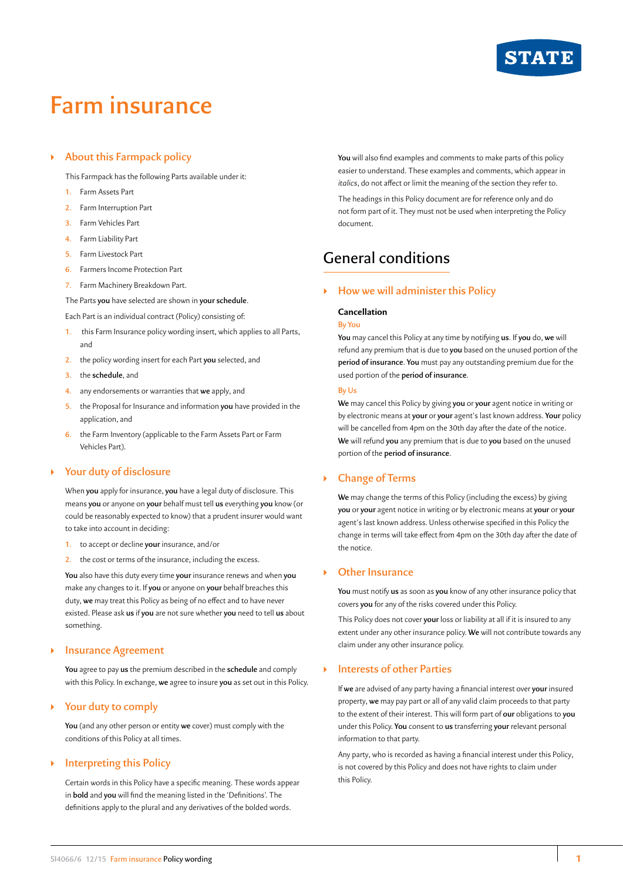

# **Farm insurance**

## ` **About this Farmpack policy**

This Farmpack has the following Parts available under it:

- **1.** Farm Assets Part
- **2.** Farm Interruption Part
- **3.** Farm Vehicles Part
- **4.** Farm Liability Part
- **5.** Farm Livestock Part
- **6.** Farmers Income Protection Part
- **7.** Farm Machinery Breakdown Part.

The Parts **you** have selected are shown in **your schedule**.

Each Part is an individual contract (Policy) consisting of:

- **1.** this Farm Insurance policy wording insert, which applies to all Parts, and
- **2.** the policy wording insert for each Part **you** selected, and
- **3.** the **schedule**, and
- **4.** any endorsements or warranties that **we** apply, and
- **5.** the Proposal for Insurance and information **you** have provided in the application, and
- **6.** the Farm Inventory (applicable to the Farm Assets Part or Farm Vehicles Part).

## ` **Your duty of disclosure**

When **you** apply for insurance, **you** have a legal duty of disclosure. This means **you** or anyone on **your** behalf must tell **us** everything **you** know (or could be reasonably expected to know) that a prudent insurer would want to take into account in deciding:

- **1.** to accept or decline **your** insurance, and/or
- **2.** the cost or terms of the insurance, including the excess.

**You** also have this duty every time **your** insurance renews and when **you** make any changes to it. If **you** or anyone on **your** behalf breaches this duty, **we** may treat this Policy as being of no effect and to have never existed. Please ask **us** if **you** are not sure whether **you** need to tell **us** about something.

` **Insurance Agreement**

**You** agree to pay **us** the premium described in the **schedule** and comply with this Policy. In exchange, **we** agree to insure **you** as set out in this Policy.

` **Your duty to comply**

**You** (and any other person or entity **we** cover) must comply with the conditions of this Policy at all times.

## ` **Interpreting this Policy**

Certain words in this Policy have a specific meaning. These words appear in **bold** and **you** will find the meaning listed in the 'Definitions'. The definitions apply to the plural and any derivatives of the bolded words.

**You** will also find examples and comments to make parts of this policy easier to understand. These examples and comments, which appear in *italics*, do not affect or limit the meaning of the section they refer to.

The headings in this Policy document are for reference only and do not form part of it. They must not be used when interpreting the Policy document.

## General conditions

### ` **How we will administer this Policy**

#### **Cancellation**

#### **By You**

**You** may cancel this Policy at any time by notifying **us**. If **you** do, **we** will refund any premium that is due to **you** based on the unused portion of the **period of insurance**. **You** must pay any outstanding premium due for the used portion of the **period of insurance**.

#### **By Us**

**We** may cancel this Policy by giving **you** or **your** agent notice in writing or by electronic means at **your** or **your** agent's last known address. **Your** policy will be cancelled from 4pm on the 30th day after the date of the notice. **We** will refund **you** any premium that is due to **you** based on the unused portion of the **period of insurance**.

## ` **Change of Terms**

**We** may change the terms of this Policy (including the excess) by giving **you** or **your** agent notice in writing or by electronic means at **your** or **your** agent's last known address. Unless otherwise specified in this Policy the change in terms will take effect from 4pm on the 30th day after the date of the notice.

## ` **Other Insurance**

**You** must notify **us** as soon as **you** know of any other insurance policy that covers **you** for any of the risks covered under this Policy.

This Policy does not cover **your** loss or liability at all if it is insured to any extent under any other insurance policy. **We** will not contribute towards any claim under any other insurance policy.

## ` **Interests of other Parties**

If **we** are advised of any party having a financial interest over **your** insured property, **we** may pay part or all of any valid claim proceeds to that party to the extent of their interest. This will form part of **our** obligations to **you** under this Policy. **You** consent to **us** transferring **your** relevant personal information to that party.

Any party, who is recorded as having a financial interest under this Policy, is not covered by this Policy and does not have rights to claim under this Policy.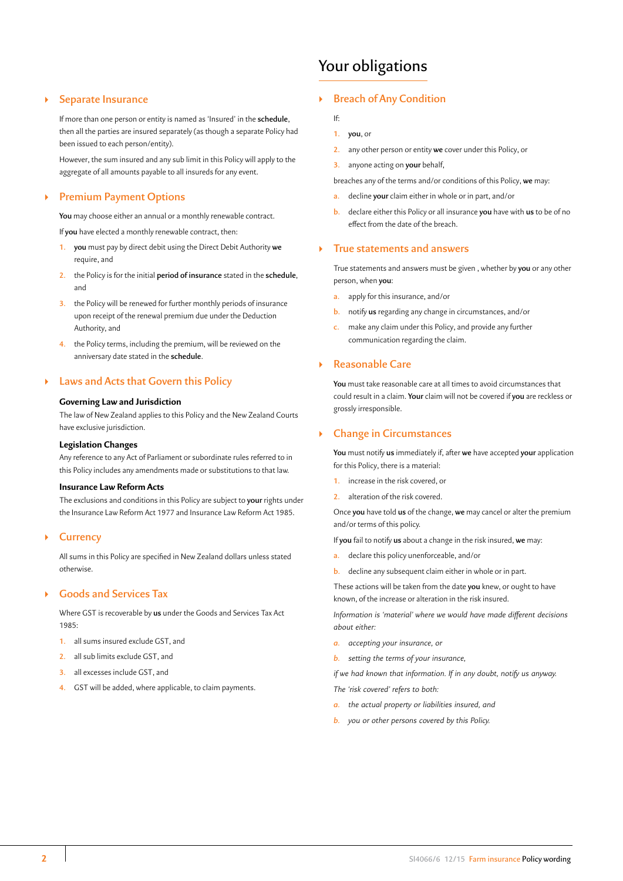## ` **Separate Insurance**

If more than one person or entity is named as 'Insured' in the **schedule**, then all the parties are insured separately (as though a separate Policy had been issued to each person/entity).

However, the sum insured and any sub limit in this Policy will apply to the aggregate of all amounts payable to all insureds for any event.

## ` **Premium Payment Options**

**You** may choose either an annual or a monthly renewable contract. If **you** have elected a monthly renewable contract, then:

- **1. you** must pay by direct debit using the Direct Debit Authority **we**  require, and
- **2.** the Policy is for the initial **period of insurance** stated in the **schedule**, and
- **3.** the Policy will be renewed for further monthly periods of insurance upon receipt of the renewal premium due under the Deduction Authority, and
- **4.** the Policy terms, including the premium, will be reviewed on the anniversary date stated in the **schedule**.

## ` **Laws and Acts that Govern this Policy**

#### **Governing Law and Jurisdiction**

The law of New Zealand applies to this Policy and the New Zealand Courts have exclusive jurisdiction.

#### **Legislation Changes**

Any reference to any Act of Parliament or subordinate rules referred to in this Policy includes any amendments made or substitutions to that law.

#### **Insurance Law Reform Acts**

The exclusions and conditions in this Policy are subject to **your** rights under the Insurance Law Reform Act 1977 and Insurance Law Reform Act 1985.

## ` **Currency**

All sums in this Policy are specified in New Zealand dollars unless stated otherwise.

## ` **Goods and Services Tax**

Where GST is recoverable by **us** under the Goods and Services Tax Act 1985:

- **1.** all sums insured exclude GST, and
- **2.** all sub limits exclude GST, and
- **3.** all excesses include GST, and
- **4.** GST will be added, where applicable, to claim payments.

## Your obligations

## ▶ **Breach of Any Condition**

#### If:

- **1. you**, or
- **2.** any other person or entity **we** cover under this Policy, or
- **3.** anyone acting on **your** behalf,
- breaches any of the terms and/or conditions of this Policy, **we** may:
- **a.** decline **your** claim either in whole or in part, and/or
- **b.** declare either this Policy or all insurance **you** have with **us** to be of no effect from the date of the breach.

#### ` **True statements and answers**

True statements and answers must be given , whether by **you** or any other person, when **you**:

- **a.** apply for this insurance, and/or
- **b.** notify **us** regarding any change in circumstances, and/or
- **c.** make any claim under this Policy, and provide any further communication regarding the claim.

## ` **Reasonable Care**

**You** must take reasonable care at all times to avoid circumstances that could result in a claim. **Your** claim will not be covered if **you** are reckless or grossly irresponsible.

#### ` **Change in Circumstances**

**You** must notify **us** immediately if, after **we** have accepted **your** application for this Policy, there is a material:

- **1.** increase in the risk covered, or
- **2.** alteration of the risk covered.

Once **you** have told **us** of the change, **we** may cancel or alter the premium and/or terms of this policy.

If **you** fail to notify **us** about a change in the risk insured, **we** may:

- **a.** declare this policy unenforceable, and/or
- **b.** decline any subsequent claim either in whole or in part.

These actions will be taken from the date **you** knew, or ought to have known, of the increase or alteration in the risk insured.

*Information is 'material' where we would have made different decisions about either:*

- *a. accepting your insurance, or*
- *b. setting the terms of your insurance,*

*if we had known that information. If in any doubt, notify us anyway. The 'risk covered' refers to both:*

- *a. the actual property or liabilities insured, and*
- *b. you or other persons covered by this Policy.*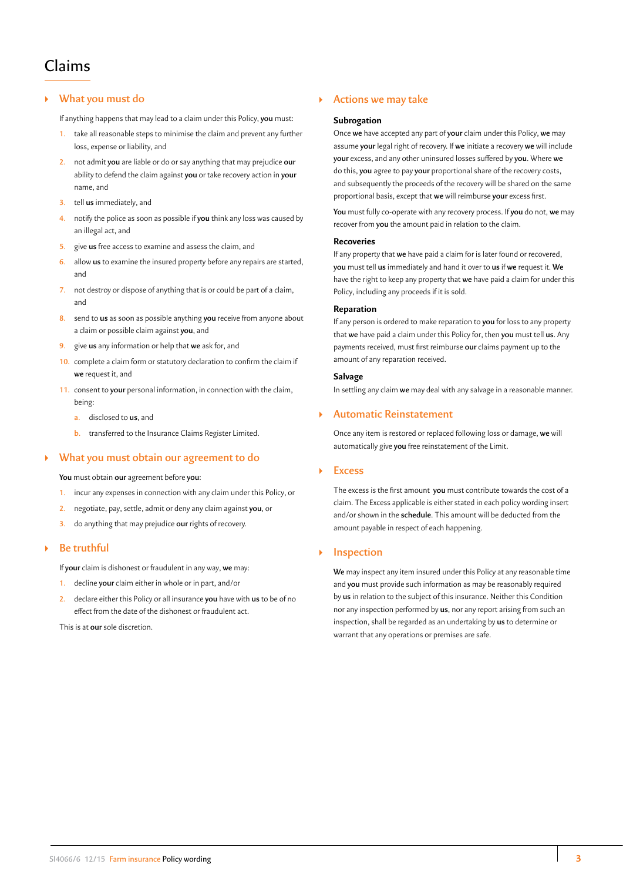## Claims

## ` **What you must do**

If anything happens that may lead to a claim under this Policy, **you** must:

- **1.** take all reasonable steps to minimise the claim and prevent any further loss, expense or liability, and
- **2.** not admit **you** are liable or do or say anything that may prejudice **our** ability to defend the claim against **you** or take recovery action in **your** name, and
- **3.** tell **us** immediately, and
- **4.** notify the police as soon as possible if **you** think any loss was caused by an illegal act, and
- **5.** give **us** free access to examine and assess the claim, and
- **6.** allow **us** to examine the insured property before any repairs are started, and
- **7.** not destroy or dispose of anything that is or could be part of a claim, and
- **8.** send to **us** as soon as possible anything **you** receive from anyone about a claim or possible claim against **you**, and
- **9.** give **us** any information or help that **we** ask for, and
- **10.** complete a claim form or statutory declaration to confirm the claim if **we** request it, and
- **11.** consent to **your** personal information, in connection with the claim, being:
	- **a.** disclosed to **us**, and
	- **b.** transferred to the Insurance Claims Register Limited.

## ` **What you must obtain our agreement to do**

**You** must obtain **our** agreement before **you**:

- **1.** incur any expenses in connection with any claim under this Policy, or
- **2.** negotiate, pay, settle, admit or deny any claim against **you**, or
- **3.** do anything that may prejudice **our** rights of recovery.

## ` **Be truthful**

If **your** claim is dishonest or fraudulent in any way, **we** may:

- **1.** decline **your** claim either in whole or in part, and/or
- **2.** declare either this Policy or all insurance **you** have with **us** to be of no effect from the date of the dishonest or fraudulent act.

This is at **our** sole discretion.

## ` **Actions we may take**

#### **Subrogation**

Once **we** have accepted any part of **your** claim under this Policy, **we** may assume **your** legal right of recovery. If **we** initiate a recovery **we** will include **your** excess, and any other uninsured losses suffered by **you**. Where **we** do this, **you** agree to pay **your** proportional share of the recovery costs, and subsequently the proceeds of the recovery will be shared on the same proportional basis, except that **we** will reimburse **your** excess first.

**You** must fully co-operate with any recovery process. If **you** do not, **we** may recover from **you** the amount paid in relation to the claim.

### **Recoveries**

If any property that **we** have paid a claim for is later found or recovered, **you** must tell **us** immediately and hand it over to **us** if **we** request it. **We** have the right to keep any property that **we** have paid a claim for under this Policy, including any proceeds if it is sold.

### **Reparation**

If any person is ordered to make reparation to **you** for loss to any property that **we** have paid a claim under this Policy for, then **you** must tell **us**. Any payments received, must first reimburse **our** claims payment up to the amount of any reparation received.

#### **Salvage**

In settling any claim **we** may deal with any salvage in a reasonable manner.

## ` **Automatic Reinstatement**

Once any item is restored or replaced following loss or damage, **we** will automatically give **you** free reinstatement of the Limit.

## ` **Excess**

The excess is the first amount **you** must contribute towards the cost of a claim. The Excess applicable is either stated in each policy wording insert and/or shown in the **schedule**. This amount will be deducted from the amount payable in respect of each happening.

## ` **Inspection**

**We** may inspect any item insured under this Policy at any reasonable time and **you** must provide such information as may be reasonably required by **us** in relation to the subject of this insurance. Neither this Condition nor any inspection performed by **us**, nor any report arising from such an inspection, shall be regarded as an undertaking by **us** to determine or warrant that any operations or premises are safe.